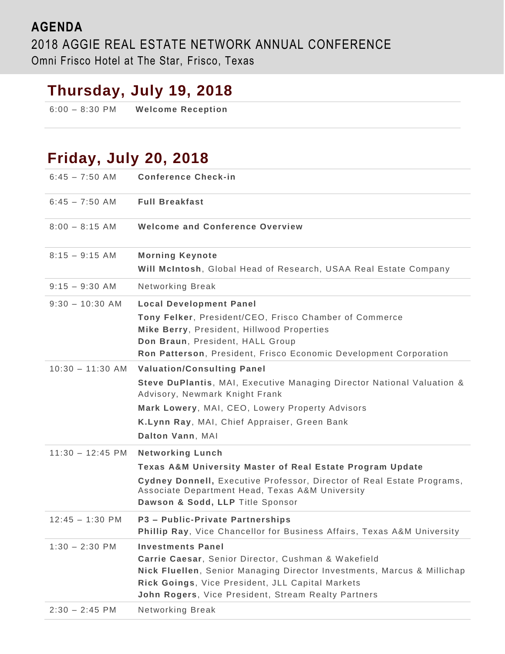#### **AGENDA** 2018 AGGIE REAL ESTATE NETWORK ANNUAL CONFERENCE Omni Frisco Hotel at The Star, Frisco, Texas

## **Thursday, July 19, 2018**

6:00 – 8:30 PM **Welcome Reception**

### **Friday, July 20, 2018**

| $6:45 - 7:50$ AM           | <b>Conference Check-in</b>                                                                                                                                    |
|----------------------------|---------------------------------------------------------------------------------------------------------------------------------------------------------------|
| $6:45 - 7:50$ AM           | <b>Full Breakfast</b>                                                                                                                                         |
| $8:00 - 8:15$ AM           | <b>Welcome and Conference Overview</b>                                                                                                                        |
| $8:15 - 9:15$ AM           | <b>Morning Keynote</b>                                                                                                                                        |
|                            | Will McIntosh, Global Head of Research, USAA Real Estate Company                                                                                              |
| $9:15 - 9:30$ AM           | Networking Break                                                                                                                                              |
| $9:30 - 10:30$ AM          | <b>Local Development Panel</b>                                                                                                                                |
|                            | Tony Felker, President/CEO, Frisco Chamber of Commerce                                                                                                        |
|                            | Mike Berry, President, Hillwood Properties                                                                                                                    |
|                            | Don Braun, President, HALL Group                                                                                                                              |
|                            | Ron Patterson, President, Frisco Economic Development Corporation                                                                                             |
| $10:30 - 11:30$ AM         | <b>Valuation/Consulting Panel</b>                                                                                                                             |
|                            | Steve DuPlantis, MAI, Executive Managing Director National Valuation &<br>Advisory, Newmark Knight Frank                                                      |
|                            | Mark Lowery, MAI, CEO, Lowery Property Advisors                                                                                                               |
|                            | K.Lynn Ray, MAI, Chief Appraiser, Green Bank                                                                                                                  |
|                            | Dalton Vann, MAI                                                                                                                                              |
| $11:30 - 12:45 \text{ PM}$ | <b>Networking Lunch</b>                                                                                                                                       |
|                            | Texas A&M University Master of Real Estate Program Update                                                                                                     |
|                            | Cydney Donnell, Executive Professor, Director of Real Estate Programs,<br>Associate Department Head, Texas A&M University<br>Dawson & Sodd, LLP Title Sponsor |
| $12:45 - 1:30$ PM          | P3 - Public-Private Partnerships                                                                                                                              |
|                            | Phillip Ray, Vice Chancellor for Business Affairs, Texas A&M University                                                                                       |
| $1:30 - 2:30$ PM           | <b>Investments Panel</b>                                                                                                                                      |
|                            | Carrie Caesar, Senior Director, Cushman & Wakefield                                                                                                           |
|                            | Nick Fluellen, Senior Managing Director Investments, Marcus & Millichap                                                                                       |
|                            | Rick Goings, Vice President, JLL Capital Markets                                                                                                              |
|                            | John Rogers, Vice President, Stream Realty Partners                                                                                                           |
| $2:30 - 2:45$ PM           | Networking Break                                                                                                                                              |